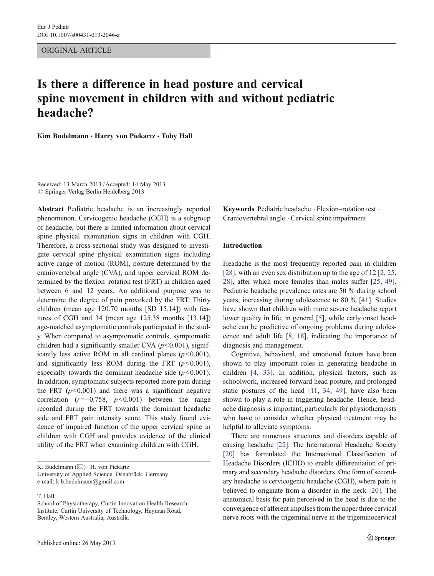ORIGINAL ARTICLE

# Is there a difference in head posture and cervical spine movement in children with and without pediatric headache?

Kim Budelmann · Harry von Piekartz · Toby Hall

Received: 13 March 2013 /Accepted: 14 May 2013  $\circ$  Springer-Verlag Berlin Heidelberg 2013

Abstract Pediatric headache is an increasingly reported phenomenon. Cervicogenic headache (CGH) is a subgroup of headache, but there is limited information about cervical spine physical examination signs in children with CGH. Therefore, a cross-sectional study was designed to investigate cervical spine physical examination signs including active range of motion (ROM), posture determined by the craniovertebral angle (CVA), and upper cervical ROM determined by the flexion–rotation test (FRT) in children aged between 6 and 12 years. An additional purpose was to determine the degree of pain provoked by the FRT. Thirty children (mean age 120.70 months [SD 15.14]) with features of CGH and 34 (mean age 125.38 months [13.14]) age-matched asymptomatic controls participated in the study. When compared to asymptomatic controls, symptomatic children had a significantly smaller CVA ( $p$ <0.001), significantly less active ROM in all cardinal planes  $(p<0.001)$ , and significantly less ROM during the FRT  $(p<0.001)$ , especially towards the dominant headache side  $(p<0.001)$ . In addition, symptomatic subjects reported more pain during the FRT  $(p<0.001)$  and there was a significant negative correlation ( $r=-0.758$ ,  $p<0.001$ ) between the range recorded during the FRT towards the dominant headache side and FRT pain intensity score. This study found evidence of impaired function of the upper cervical spine in children with CGH and provides evidence of the clinical utility of the FRT when examining children with CGH.

T. Hall

Keywords Pediatric headache . Flexion–rotation test . Craniovertebral angle . Cervical spine impairment

# Introduction

Headache is the most frequently reported pain in children [\[28](#page-6-0)], with an even sex distribution up to the age of 12 [[2,](#page-6-0) [25,](#page-6-0) [28](#page-6-0)], after which more females than males suffer [\[25](#page-6-0), [49\]](#page-7-0). Pediatric headache prevalence rates are 50 % during school years, increasing during adolescence to 80 % [\[41](#page-7-0)]. Studies have shown that children with more severe headache report lower quality in life, in general [\[5](#page-6-0)], while early onset headache can be predictive of ongoing problems during adolescence and adult life [[8,](#page-6-0) [18](#page-6-0)], indicating the importance of diagnosis and management.

Cognitive, behavioral, and emotional factors have been shown to play important roles in generating headache in children [[4,](#page-6-0) [33](#page-6-0)]. In addition, physical factors, such as schoolwork, increased forward head posture, and prolonged static postures of the head [\[11,](#page-6-0) [34](#page-6-0), [49\]](#page-7-0), have also been shown to play a role in triggering headache. Hence, headache diagnosis is important, particularly for physiotherapists who have to consider whether physical treatment may be helpful to alleviate symptoms.

There are numerous structures and disorders capable of causing headache [\[22](#page-6-0)]. The International Headache Society [\[20](#page-6-0)] has formulated the International Classification of Headache Disorders (ICHD) to enable differentiation of primary and secondary headache disorders. One form of secondary headache is cervicogenic headache (CGH), where pain is believed to originate from a disorder in the neck [\[20\]](#page-6-0). The anatomical basis for pain perceived in the head is due to the convergence of afferent impulses from the upper three cervical nerve roots with the trigeminal nerve in the trigeminocervical

K. Budelmann  $(\boxtimes) \cdot H$ . von Piekartz University of Applied Science, Osnabrück, Germany e-mail: k.b.budelmann@gmail.com

School of Physiotherapy, Curtin Innovation Health Research Institute, Curtin University of Technology, Hayman Road, Bentley, Western Australia, Australia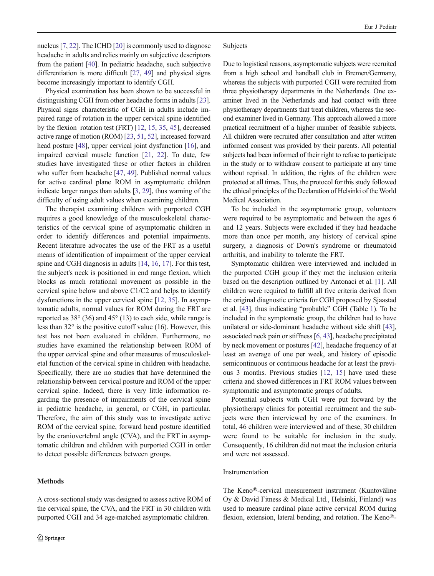nucleus [[7,](#page-6-0) [22\]](#page-6-0). The ICHD [\[20](#page-6-0)] is commonly used to diagnose headache in adults and relies mainly on subjective descriptors from the patient [[40](#page-7-0)]. In pediatric headache, such subjective differentiation is more difficult [[27,](#page-6-0) [49\]](#page-7-0) and physical signs become increasingly important to identify CGH.

Physical examination has been shown to be successful in distinguishing CGH from other headache forms in adults [[23\]](#page-6-0). Physical signs characteristic of CGH in adults include impaired range of rotation in the upper cervical spine identified by the flexion–rotation test (FRT) [\[12](#page-6-0), [15,](#page-6-0) [35,](#page-6-0) [45\]](#page-7-0), decreased active range of motion (ROM) [[23](#page-6-0), [51,](#page-7-0) [52](#page-7-0)], increased forward head posture [\[48\]](#page-7-0), upper cervical joint dysfunction [[16](#page-6-0)], and impaired cervical muscle function [\[21](#page-6-0), [22](#page-6-0)]. To date, few studies have investigated these or other factors in children who suffer from headache [[47](#page-7-0), [49](#page-7-0)]. Published normal values for active cardinal plane ROM in asymptomatic children indicate larger ranges than adults [\[3](#page-6-0), [29\]](#page-6-0), thus warning of the difficulty of using adult values when examining children.

The therapist examining children with purported CGH requires a good knowledge of the musculoskeletal characteristics of the cervical spine of asymptomatic children in order to identify differences and potential impairments. Recent literature advocates the use of the FRT as a useful means of identification of impairment of the upper cervical spine and CGH diagnosis in adults [[14,](#page-6-0) [16,](#page-6-0) [17](#page-6-0)]. For this test, the subject's neck is positioned in end range flexion, which blocks as much rotational movement as possible in the cervical spine below and above C1/C2 and helps to identify dysfunctions in the upper cervical spine [\[12](#page-6-0), [35\]](#page-6-0). In asymptomatic adults, normal values for ROM during the FRT are reported as  $38^{\circ}$  (36) and  $45^{\circ}$  (13) to each side, while range is less than 32° is the positive cutoff value (16). However, this test has not been evaluated in children. Furthermore, no studies have examined the relationship between ROM of the upper cervical spine and other measures of musculoskeletal function of the cervical spine in children with headache. Specifically, there are no studies that have determined the relationship between cervical posture and ROM of the upper cervical spine. Indeed, there is very little information regarding the presence of impairments of the cervical spine in pediatric headache, in general, or CGH, in particular. Therefore, the aim of this study was to investigate active ROM of the cervical spine, forward head posture identified by the craniovertebral angle (CVA), and the FRT in asymptomatic children and children with purported CGH in order to detect possible differences between groups.

## Methods

A cross-sectional study was designed to assess active ROM of the cervical spine, the CVA, and the FRT in 30 children with purported CGH and 34 age-matched asymptomatic children.

#### Subjects

Due to logistical reasons, asymptomatic subjects were recruited from a high school and handball club in Bremen/Germany, whereas the subjects with purported CGH were recruited from three physiotherapy departments in the Netherlands. One examiner lived in the Netherlands and had contact with three physiotherapy departments that treat children, whereas the second examiner lived in Germany. This approach allowed a more practical recruitment of a higher number of feasible subjects. All children were recruited after consultation and after written informed consent was provided by their parents. All potential subjects had been informed of their right to refuse to participate in the study or to withdraw consent to participate at any time without reprisal. In addition, the rights of the children were protected at all times. Thus, the protocol for this study followed the ethical principles of the Declaration of Helsinki of the World Medical Association.

To be included in the asymptomatic group, volunteers were required to be asymptomatic and between the ages 6 and 12 years. Subjects were excluded if they had headache more than once per month, any history of cervical spine surgery, a diagnosis of Down's syndrome or rheumatoid arthritis, and inability to tolerate the FRT.

Symptomatic children were interviewed and included in the purported CGH group if they met the inclusion criteria based on the description outlined by Antonaci et al. [\[1](#page-6-0)]. All children were required to fulfill all five criteria derived from the original diagnostic criteria for CGH proposed by Sjaastad et al. [[43](#page-7-0)], thus indicating "probable" CGH (Table [1\)](#page-2-0). To be included in the symptomatic group, the children had to have unilateral or side-dominant headache without side shift [[43\]](#page-7-0), associated neck pain or stiffness [\[6,](#page-6-0) [43](#page-7-0)], headache precipitated by neck movement or postures [\[42\]](#page-7-0), headache frequency of at least an average of one per week, and history of episodic semicontinuous or continuous headache for at least the previous 3 months. Previous studies [[12](#page-6-0), [15](#page-6-0)] have used these criteria and showed differences in FRT ROM values between symptomatic and asymptomatic groups of adults.

Potential subjects with CGH were put forward by the physiotherapy clinics for potential recruitment and the subjects were then interviewed by one of the examiners. In total, 46 children were interviewed and of these, 30 children were found to be suitable for inclusion in the study. Consequently, 16 children did not meet the inclusion criteria and were not assessed.

## Instrumentation

The Keno®-cervical measurement instrument (Kuntoväline Oy & David Fitness & Medical Ltd., Helsinki, Finland) was used to measure cardinal plane active cervical ROM during flexion, extension, lateral bending, and rotation. The Keno®-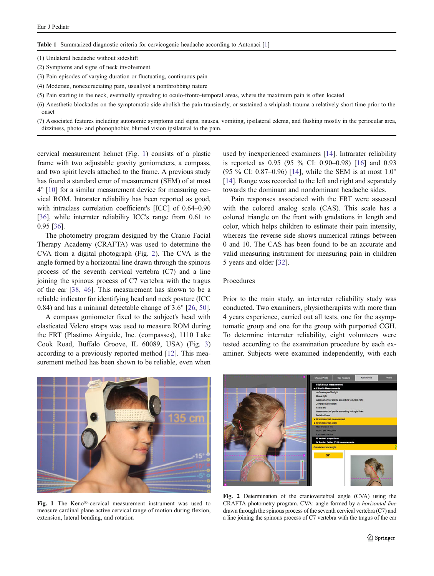#### <span id="page-2-0"></span>Table 1 Summarized diagnostic criteria for cervicogenic headache according to Antonaci [\[1](#page-6-0)]

- (1) Unilateral headache without sideshift
- (2) Symptoms and signs of neck involvement
- (3) Pain episodes of varying duration or fluctuating, continuous pain
- (4) Moderate, nonexcruciating pain, usuallyof a nonthrobbing nature
- (5) Pain starting in the neck, eventually spreading to oculo-fronto-temporal areas, where the maximum pain is often located
- (6) Anesthetic blockades on the symptomatic side abolish the pain transiently, or sustained a whiplash trauma a relatively short time prior to the onset

(7) Associated features including autonomic symptoms and signs, nausea, vomiting, ipsilateral edema, and flushing mostly in the periocular area, dizziness, photo- and phonophobia; blurred vision ipsilateral to the pain.

cervical measurement helmet (Fig. 1) consists of a plastic frame with two adjustable gravity goniometers, a compass, and two spirit levels attached to the frame. A previous study has found a standard error of measurement (SEM) of at most 4° [\[10\]](#page-6-0) for a similar measurement device for measuring cervical ROM. Intrarater reliability has been reported as good, with intraclass correlation coefficient's [ICC] of 0.64–0.90 [\[36\]](#page-6-0), while interrater reliability ICC's range from 0.61 to 0.95 [\[36\]](#page-6-0).

The photometry program designed by the Cranio Facial Therapy Academy (CRAFTA) was used to determine the CVA from a digital photograph (Fig. 2). The CVA is the angle formed by a horizontal line drawn through the spinous process of the seventh cervical vertebra (C7) and a line joining the spinous process of C7 vertebra with the tragus of the ear [\[38](#page-6-0), [46\]](#page-7-0). This measurement has shown to be a reliable indicator for identifying head and neck posture (ICC 0.84) and has a minimal detectable change of 3.6° [\[26](#page-6-0), [50](#page-7-0)].

A compass goniometer fixed to the subject's head with elasticated Velcro straps was used to measure ROM during the FRT (Plastimo Airguide, Inc. (compasses), 1110 Lake Cook Road, Buffalo Groove, IL 60089, USA) (Fig. [3\)](#page-3-0) according to a previously reported method [[12\]](#page-6-0). This measurement method has been shown to be reliable, even when used by inexperienced examiners [\[14](#page-6-0)]. Intrarater reliability is reported as 0.95 (95 % CI: 0.90–0.98) [[16\]](#page-6-0) and 0.93 (95 % CI: 0.87–0.96) [\[14](#page-6-0)], while the SEM is at most 1.0° [\[14](#page-6-0)]. Range was recorded to the left and right and separately towards the dominant and nondominant headache sides.

Pain responses associated with the FRT were assessed with the colored analog scale (CAS). This scale has a colored triangle on the front with gradations in length and color, which helps children to estimate their pain intensity, whereas the reverse side shows numerical ratings between 0 and 10. The CAS has been found to be an accurate and valid measuring instrument for measuring pain in children 5 years and older [[32\]](#page-6-0).

# Procedures

Prior to the main study, an interrater reliability study was conducted. Two examiners, physiotherapists with more than 4 years experience, carried out all tests, one for the asymptomatic group and one for the group with purported CGH. To determine interrater reliability, eight volunteers were tested according to the examination procedure by each examiner. Subjects were examined independently, with each



Fig. 1 The Keno®-cervical measurement instrument was used to measure cardinal plane active cervical range of motion during flexion, extension, lateral bending, and rotation



Fig. 2 Determination of the craniovertebral angle (CVA) using the CRAFTA photometry program. CVA: angle formed by a horizontal line drawn through the spinous process of the seventh cervical vertebra (C7) and a line joining the spinous process of C7 vertebra with the tragus of the ear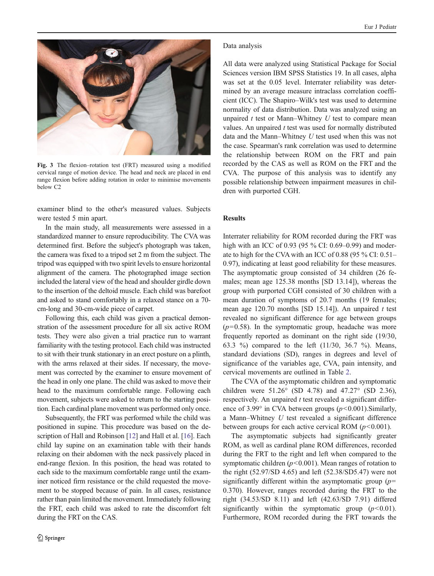<span id="page-3-0"></span>

Fig. 3 The flexion–rotation test (FRT) measured using a modified cervical range of motion device. The head and neck are placed in end range flexion before adding rotation in order to minimise movements below C2

examiner blind to the other's measured values. Subjects were tested 5 min apart.

In the main study, all measurements were assessed in a standardized manner to ensure reproducibility. The CVA was determined first. Before the subject's photograph was taken, the camera was fixed to a tripod set 2 m from the subject. The tripod was equipped with two spirit levels to ensure horizontal alignment of the camera. The photographed image section included the lateral view of the head and shoulder girdle down to the insertion of the deltoid muscle. Each child was barefoot and asked to stand comfortably in a relaxed stance on a 70 cm-long and 30-cm-wide piece of carpet.

Following this, each child was given a practical demonstration of the assessment procedure for all six active ROM tests. They were also given a trial practice run to warrant familiarity with the testing protocol. Each child was instructed to sit with their trunk stationary in an erect posture on a plinth, with the arms relaxed at their sides. If necessary, the movement was corrected by the examiner to ensure movement of the head in only one plane. The child was asked to move their head to the maximum comfortable range. Following each movement, subjects were asked to return to the starting position. Each cardinal plane movement was performed only once.

Subsequently, the FRT was performed while the child was positioned in supine. This procedure was based on the description of Hall and Robinson [\[12](#page-6-0)] and Hall et al. [[16\]](#page-6-0). Each child lay supine on an examination table with their hands relaxing on their abdomen with the neck passively placed in end-range flexion. In this position, the head was rotated to each side to the maximum comfortable range until the examiner noticed firm resistance or the child requested the movement to be stopped because of pain. In all cases, resistance rather than pain limited the movement. Immediately following the FRT, each child was asked to rate the discomfort felt during the FRT on the CAS.

#### Data analysis

All data were analyzed using Statistical Package for Social Sciences version IBM SPSS Statistics 19. In all cases, alpha was set at the 0.05 level. Interrater reliability was determined by an average measure intraclass correlation coefficient (ICC). The Shapiro–Wilk's test was used to determine normality of data distribution. Data was analyzed using an unpaired  $t$  test or Mann–Whitney  $U$  test to compare mean values. An unpaired  $t$  test was used for normally distributed data and the Mann–Whitney U test used when this was not the case. Spearman's rank correlation was used to determine the relationship between ROM on the FRT and pain recorded by the CAS as well as ROM on the FRT and the CVA. The purpose of this analysis was to identify any possible relationship between impairment measures in children with purported CGH.

# Results

Interrater reliability for ROM recorded during the FRT was high with an ICC of 0.93 (95 % CI: 0.69–0.99) and moderate to high for the CVA with an ICC of 0.88 (95 % CI: 0.51– 0.97), indicating at least good reliability for these measures. The asymptomatic group consisted of 34 children (26 females; mean age 125.38 months [SD 13.14]), whereas the group with purported CGH consisted of 30 children with a mean duration of symptoms of 20.7 months (19 females; mean age 120.70 months [SD 15.14]). An unpaired  $t$  test revealed no significant difference for age between groups  $(p=0.58)$ . In the symptomatic group, headache was more frequently reported as dominant on the right side (19/30, 63.3 %) compared to the left (11/30, 36.7 %). Means, standard deviations (SD), ranges in degrees and level of significance of the variables age, CVA, pain intensity, and cervical movements are outlined in Table [2.](#page-4-0)

The CVA of the asymptomatic children and symptomatic children were 51.26° (SD 4.78) and 47.27° (SD 2.36), respectively. An unpaired  $t$  test revealed a significant difference of 3.99 $^{\circ}$  in CVA between groups ( $p$ <0.001). Similarly, a Mann–Whitney U test revealed a significant difference between groups for each active cervical ROM  $(p<0.001)$ .

The asymptomatic subjects had significantly greater ROM, as well as cardinal plane ROM differences, recorded during the FRT to the right and left when compared to the symptomatic children  $(p<0.001)$ . Mean ranges of rotation to the right (52.97/SD 4.65) and left (52.38/SD5.47) were not significantly different within the asymptomatic group  $(p=$ 0.370). However, ranges recorded during the FRT to the right (34.53/SD 8.11) and left (42.63/SD 7.91) differed significantly within the symptomatic group  $(p<0.01)$ . Furthermore, ROM recorded during the FRT towards the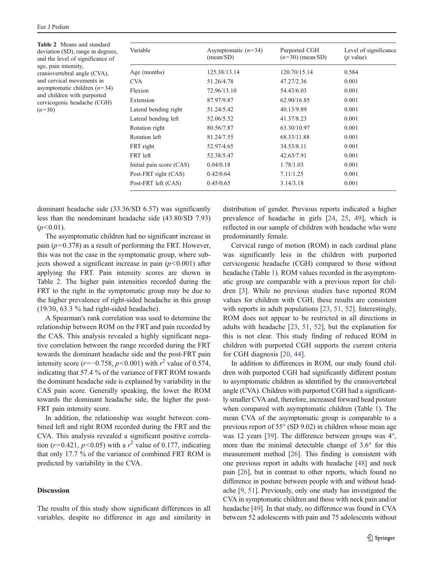<span id="page-4-0"></span>Table 2 Means and standard deviation (SD), range in degrees, and the level of significance of age, pain intensity, craniovertebral angle (CVA), and cervical movements in asymptomatic children  $(n=34)$ and children with purported cervicogenic headache (CGH)  $(n=30)$ 

| Variable                 | Asymptomatic $(n=34)$<br>(mean/SD) | Purported CGH<br>$(n=30)$ (mean/SD) | Level of significance<br>$(p$ value) |  |  |  |  |  |
|--------------------------|------------------------------------|-------------------------------------|--------------------------------------|--|--|--|--|--|
| Age (months)             | 125.38/13.14                       | 120.70/15.14                        | 0.584                                |  |  |  |  |  |
| <b>CVA</b>               | 51.26/4.78                         | 47.27/2.36                          | 0.001                                |  |  |  |  |  |
| Flexion                  | 72.96/13.10                        | 54.43/6.03                          | 0.001                                |  |  |  |  |  |
| Extension                | 87.97/9.87                         | 62.90/16.85                         | 0.001                                |  |  |  |  |  |
| Lateral bending right    | 51.24/5.42                         | 40.13/9.89                          | 0.001                                |  |  |  |  |  |
| Lateral bending left     | 52.06/5.52                         | 41.37/8.23                          | 0.001                                |  |  |  |  |  |
| Rotation right           | 80.56/7.87                         | 63.30/10.97                         | 0.001                                |  |  |  |  |  |
| Rotation left            | 81.24/7.55                         | 68.33/11.88                         | 0.001                                |  |  |  |  |  |
| FRT right                | 52.97/4.65                         | 34.53/8.11                          | 0.001                                |  |  |  |  |  |
| FRT left                 | 52.38/5.47                         | 42.63/7.91                          | 0.001                                |  |  |  |  |  |
| Initial pain score (CAS) | 0.04/0.18                          | 1.78/1.03                           | 0.001                                |  |  |  |  |  |
| Post-FRT right (CAS)     | 0.42/0.64                          | 7.11/1.25                           | 0.001                                |  |  |  |  |  |
| Post-FRT left (CAS)      | 0.45/0.65                          | 3.14/3.18                           | 0.001                                |  |  |  |  |  |

dominant headache side (33.36/SD 6.57) was significantly less than the nondominant headache side (43.80/SD 7.93)  $(p<0.01)$ .

The asymptomatic children had no significant increase in pain ( $p=0.378$ ) as a result of performing the FRT. However, this was not the case in the symptomatic group, where subjects showed a significant increase in pain  $(p<0.001)$  after applying the FRT. Pain intensity scores are shown in Table 2. The higher pain intensities recorded during the FRT to the right in the symptomatic group may be due to the higher prevalence of right-sided headache in this group (19/30, 63.3 % had right-sided headache).

A Spearman's rank correlation was used to determine the relationship between ROM on the FRT and pain recorded by the CAS. This analysis revealed a highly significant negative correlation between the range recorded during the FRT towards the dominant headache side and the post-FRT pain intensity score ( $r = -0.758$ ,  $p < 0.001$ ) with  $r<sup>2</sup>$  value of 0.574, indicating that 57.4 % of the variance of FRT ROM towards the dominant headache side is explained by variability in the CAS pain score. Generally speaking, the lower the ROM towards the dominant headache side, the higher the post-FRT pain intensity score.

In addition, the relationship was sought between combined left and right ROM recorded during the FRT and the CVA. This analysis revealed a significant positive correlation ( $r=0.421$ ,  $p<0.05$ ) with a  $r<sup>2</sup>$  value of 0.177, indicating that only 17.7 % of the variance of combined FRT ROM is predicted by variability in the CVA.

# Discussion

The results of this study show significant differences in all variables, despite no difference in age and similarity in distribution of gender. Previous reports indicated a higher prevalence of headache in girls [\[24](#page-6-0), [25](#page-6-0), [49\]](#page-7-0), which is reflected in our sample of children with headache who were predominantly female.

Cervical range of motion (ROM) in each cardinal plane was significantly less in the children with purported cervicogenic headache (CGH) compared to those without headache (Table [1\)](#page-2-0). ROM values recorded in the asymptomatic group are comparable with a previous report for children [[3\]](#page-6-0). While no previous studies have reported ROM values for children with CGH, these results are consistent with reports in adult populations [[23,](#page-6-0) [51](#page-7-0), [52\]](#page-7-0). Interestingly, ROM does not appear to be restricted in all directions in adults with headache [[23,](#page-6-0) [51,](#page-7-0) [52](#page-7-0)], but the explanation for this is not clear. This study finding of reduced ROM in children with purported CGH supports the current criteria for CGH diagnosis [\[20](#page-6-0), [44\]](#page-7-0).

In addition to differences in ROM, our study found children with purported CGH had significantly different posture to asymptomatic children as identified by the craniovertebral angle (CVA). Children with purported CGH had a significantly smaller CVA and, therefore, increased forward head posture when compared with asymptomatic children (Table [1\)](#page-2-0). The mean CVA of the asymptomatic group is comparable to a previous report of 55° (SD 9.02) in children whose mean age was 12 years [\[39](#page-7-0)]. The difference between groups was 4°, more than the minimal detectable change of 3.6° for this measurement method [\[26\]](#page-6-0). This finding is consistent with one previous report in adults with headache [\[48\]](#page-7-0) and neck pain [\[26\]](#page-6-0), but in contrast to other reports, which found no difference in posture between people with and without headache [\[9,](#page-6-0) [51](#page-7-0)]. Previously, only one study has investigated the CVA in symptomatic children and those with neck pain and/or headache [[49\]](#page-7-0). In that study, no difference was found in CVA between 52 adolescents with pain and 75 adolescents without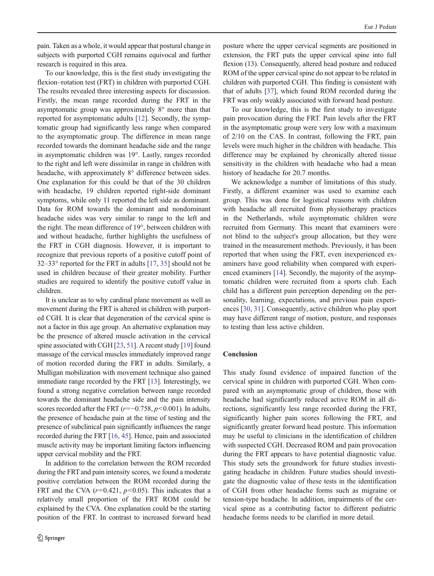pain. Taken as a whole, it would appear that postural change in subjects with purported CGH remains equivocal and further research is required in this area.

To our knowledge, this is the first study investigating the flexion–rotation test (FRT) in children with purported CGH. The results revealed three interesting aspects for discussion. Firstly, the mean range recorded during the FRT in the asymptomatic group was approximately 8° more than that reported for asymptomatic adults [\[12](#page-6-0)]. Secondly, the symptomatic group had significantly less range when compared to the asymptomatic group. The difference in mean range recorded towards the dominant headache side and the range in asymptomatic children was 19°. Lastly, ranges recorded to the right and left were dissimilar in range in children with headache, with approximately 8° difference between sides. One explanation for this could be that of the 30 children with headache, 19 children reported right-side dominant symptoms, while only 11 reported the left side as dominant. Data for ROM towards the dominant and nondominant headache sides was very similar to range to the left and the right. The mean difference of 19°, between children with and without headache, further highlights the usefulness of the FRT in CGH diagnosis. However, it is important to recognize that previous reports of a positive cutoff point of 32–33° reported for the FRT in adults [\[17](#page-6-0), [35](#page-6-0)] should not be used in children because of their greater mobility. Further studies are required to identify the positive cutoff value in children.

It is unclear as to why cardinal plane movement as well as movement during the FRT is altered in children with purported CGH. It is clear that degeneration of the cervical spine is not a factor in this age group. An alternative explanation may be the presence of altered muscle activation in the cervical spine associated with CGH [[23,](#page-6-0) [51\]](#page-7-0). A recent study [\[19](#page-6-0)] found massage of the cervical muscles immediately improved range of motion recorded during the FRT in adults. Similarly, a Mulligan mobilization with movement technique also gained immediate range recorded by the FRT [\[13](#page-6-0)]. Interestingly, we found a strong negative correlation between range recorded towards the dominant headache side and the pain intensity scores recorded after the FRT ( $r=-0.758$ ,  $p<0.001$ ). In adults, the presence of headache pain at the time of testing and the presence of subclinical pain significantly influences the range recorded during the FRT [\[16,](#page-6-0) [45](#page-7-0)]. Hence, pain and associated muscle activity may be important limiting factors influencing upper cervical mobility and the FRT.

In addition to the correlation between the ROM recorded during the FRT and pain intensity scores, we found a moderate positive correlation between the ROM recorded during the FRT and the CVA  $(r=0.421, p<0.05)$ . This indicates that a relatively small proportion of the FRT ROM could be explained by the CVA. One explanation could be the starting position of the FRT. In contrast to increased forward head posture where the upper cervical segments are positioned in extension, the FRT puts the upper cervical spine into full flexion (13). Consequently, altered head posture and reduced ROM of the upper cervical spine do not appear to be related in children with purported CGH. This finding is consistent with that of adults [\[37\]](#page-6-0), which found ROM recorded during the FRT was only weakly associated with forward head posture.

To our knowledge, this is the first study to investigate pain provocation during the FRT. Pain levels after the FRT in the asymptomatic group were very low with a maximum of 2/10 on the CAS. In contrast, following the FRT, pain levels were much higher in the children with headache. This difference may be explained by chronically altered tissue sensitivity in the children with headache who had a mean history of headache for 20.7 months.

We acknowledge a number of limitations of this study. Firstly, a different examiner was used to examine each group. This was done for logistical reasons with children with headache all recruited from physiotherapy practices in the Netherlands, while asymptomatic children were recruited from Germany. This meant that examiners were not blind to the subject's group allocation, but they were trained in the measurement methods. Previously, it has been reported that when using the FRT, even inexperienced examiners have good reliability when compared with experienced examiners [\[14](#page-6-0)]. Secondly, the majority of the asymptomatic children were recruited from a sports club. Each child has a different pain perception depending on the personality, learning, expectations, and previous pain experiences [[30,](#page-6-0) [31](#page-6-0)]. Consequently, active children who play sport may have different range of motion, posture, and responses to testing than less active children.

# Conclusion

This study found evidence of impaired function of the cervical spine in children with purported CGH. When compared with an asymptomatic group of children, those with headache had significantly reduced active ROM in all directions, significantly less range recorded during the FRT, significantly higher pain scores following the FRT, and significantly greater forward head posture. This information may be useful to clinicians in the identification of children with suspected CGH. Decreased ROM and pain provocation during the FRT appears to have potential diagnostic value. This study sets the groundwork for future studies investigating headache in children. Future studies should investigate the diagnostic value of these tests in the identification of CGH from other headache forms such as migraine or tension-type headache. In addition, impairments of the cervical spine as a contributing factor to different pediatric headache forms needs to be clarified in more detail.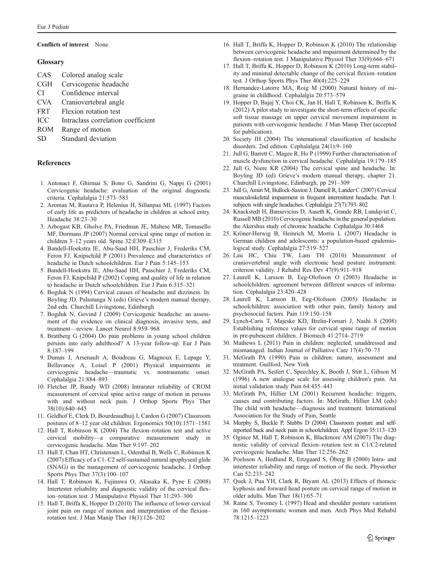#### <span id="page-6-0"></span>Conflicts of interest None.

#### Glossary

| <b>CAS</b> | Colored analog scale |  |  |  |
|------------|----------------------|--|--|--|
|            |                      |  |  |  |

- CGH Cervicogenic headache
- CI Confidence interval
- CVA Craniovertebral angle
- FRT Flexion rotation test
- ICC Intraclass correlation coefficient
- ROM Range of motion
- SD Standard deviation

# **References**

- 1. Antonaci F, Ghirmai S, Bono G, Sandrini G, Nappi G (2001) Cervicogenic headache: evaluation of the original diagnostic criteria. Cephalalgia 21:573–583
- 2. Aromaa M, Rautava P, Helenius H, Sillanpaa ML (1997) Factors of early life as predictors of headache in children at school entry. Headache 38:23–30
- 3. Arbogast KB, Gholve PA, Friedman JE, Maltese MR, Tomasello MF, Dormans JP (2007) Normal cervical spine range of motion in children 3–12 years old. Spine 32:E309–E315
- 4. Bandell-Hoekstra IE, Abu-Saad HH, Passchier J, Frederiks CM, Feron FJ, Knipschild P (2001) Prevalence and characteristics of headache in Dutch schoolchildren. Eur J Pain 5:145–153
- 5. Bandell-Hoekstra IE, Abu-Saad HH, Passchier J, Frederiks CM, Feron FJ, Knipchild P (2002) Coping and quality of life in relation to headache in Dutch schoolchildren. Eur J Pain 6:315–321
- 6. Bogduk N (1994) Cervical causes of headache and dizziness. In: Boyling JD, Palastanga N (eds) Grieve's modern manual therapy, 2nd edn. Churchill Livingstone, Edinburgh
- 7. Bogduk N, Govind J (2009) Cervicogenic headache: an assessment of the evidence on clinical diagnosis, invasive tests, and treatment—review. Lancet Neurol 8:959–968
- 8. Brattberg G (2004) Do pain problems in young school children persists into early adulthood? A 13-year follow-up. Eur J Pain 8:187–199
- 9. Dumas J, Arsenault A, Boudreau G, Magnoux E, Lepage Y, Bellavance A, Loisel P (2001) Physical impairments in cervicogenic headache—traumatic vs. nontraumatic onset. Cephalalgia 21:884–893
- 10. Fletcher JP, Bandy WD (2008) Intrarater reliability of CROM measurement of cervical spine active range of motion in persons with and without neck pain. J Orthop Sports Phys Ther 38(10):640–645
- 11. Geldhof E, Clerk D, Bourdeaudhuij I, Cardon G (2007) Classroom postures of 8–12 year old children. Ergonomics 50(10):1571–1581
- 12. Hall T, Robinson K (2004) The flexion–rotation test and active cervical mobility—a comparative measurement study in cervicogenic headache. Man Ther 9:197–202
- 13. Hall T, Chan HT, Christensen L, Odenthal B, Wells C, Robinson K (2007) Efficacy of a C1–C2 self-sustained natural apophyseal glide (SNAG) in the management of cervicogenic headache. J Orthop Sports Phys Ther 37(3):100–107
- 14. Hall T, Robinson K, Fujinawa O, Akasaka K, Pyne E (2008) Intertester reliability and diagnostic validity of the cervical flexion–rotation test. J Manipulative Physiol Ther 31:293–300
- 15. Hall T, Briffa K, Hopper D (2010) The influence of lower cervical joint pain on range of motion and interpretation of the flexion– rotation test. J Man Manip Ther 18(3):126–202
- 16. Hall T, Briffa K, Hopper D, Robinson K (2010) The relationship between cervicogenic headache and impairment determined by the flexion–rotation test. J Manipulative Physiol Ther 33(9):666–671
- 17. Hall T, Briffa K, Hopper D, Robinson K (2010) Long-term stability and minimal detectable change of the cervical flexion–rotation test. J Orthop Sports Phys Ther 40(4):225–229
- 18. Hernandez-Latorre MA, Roig M (2000) Natural history of migraine in childhood. Cephalalgia 20:573–579
- 19. Hopper D, Bajaj Y, Choi CK, Jan H, Hall T, Robinson K, Briffa K (2012) A pilot study to investigate the short-term effects of specific soft tissue massage on upper cervical movement impairment in patients with cervicogenic headache. J Man Manip Ther (accepted for publication).
- 20. Society IH (2004) The international classification of headache disorders. 2nd edition. Cephalalgia 24(1):9–160
- 21. Jull G, Barrett C, Magee R, Ho P (1999) Further characterisation of muscle dysfunction in cervical headache. Cephalalgia 19:179–185
- 22. Jull G, Niere KR (2004) The cervical spine and headache. In: Boyling JD (ed) Grieve's modern manual therapy, chapter 21. Churchill Livingstone, Edinburgh, pp 291–309
- 23. Jull G, Amiri M, Bullock-Saxton J, Darnell R, Lander C (2007) Cervical musculoskeletal impairment in frequent intermittent headache. Part 1: subjects with single headaches. Cephalalgia 27(7):793–802
- 24. Knackstedt H, Bansevicius D, Aaseth K, Grande RB, Lundqvist C, Russell MB (2010) Cervicogenic headache in the general population: the Akershus study of chromic headache. Cephalalgia 30:1468
- 25. Kröner-Herwig B, Heinrich M, Morris L (2007) Headache in German children and adolescents: a population-based epidemiological study. Cephalalgia 27:519–527
- 26. Lau HC, Chiu TW, Lam TH (2010) Measurement of craniovertebral angle with electronic head posture instrument: criterion validity. J Rehabil Res Dev 47(9):911–918
- 27. Laurell K, Larsson B, Eeg-Olofsson O (2003) Headache in schoolchildren: agreement between different sources of information. Cephalalgia 23:420–428
- 28. Laurell K, Larsson B, Eeg-Olofsson (2005) Headache in schoolchildren: association with other pain, family history and psychosocial factors. Pain 119:150–158
- 29. Lynch-Caris T, Majeske KD, Brelin-Fornari J, Nashi S (2008) Establishing reference values for cervical spine range of motion in pre-pubescent children. J Biomech 41:2714–2719
- 30. Mathews L (2011) Pain in children: neglected, unaddressed and mismanaged. Indian Journal of Palliative Care 17(4):70–73
- 31. McGrath PA (1990) Pain in children: nature, assessment and treatment. Guilford, New York
- 32. McGrath PA, Seifert C, Speechley K, Booth J, Stitt L, Gibson M (1996) A new analogue scale for assessing children's pain. An initial validation study Pain 64:435–443
- 33. McGrath PA, Hillier LM (2001) Recurrent headache: triggers, causes and contributing factors. In: McGrath, Hillier LM (eds) The child with headache—diagnosis and treatment. International Association for the Study of Pain, Seattle
- 34. Murphy S, Buckle P, Stubbs D (2004) Classroom posture and selfreported back and neck pain in schoolchildren. Appl Ergon 35:113–120
- 35. Ogince M, Hall T, Robinson K, Blackmore AM (2007) The diagnostic validity of cervical flexion–rotation test in C1/C2-related cervicogenic headache. Man Ther 12:256–262
- 36. Poelsson A, Hedlund R, Ertzgaard S, Öberg B (2000) Intra- and intertester reliability and range of motion of the neck. Physiother Can 52:233–242
- 37. Quek J, Pua YH, Clark R, Bryant AL (2013) Effects of thoracic kyphosis and forward head posture on cervical range of motion in older adults. Man Ther 18(1):65–71
- 38. Raine S, Twomey L (1997) Head and shoulder posture variations in 160 asymptomatic women and men. Arch Phys Med Rehabil 78:1215–1223